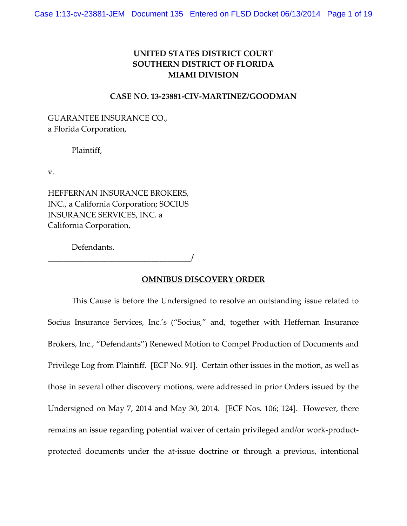# **UNITED STATES DISTRICT COURT SOUTHERN DISTRICT OF FLORIDA MIAMI DIVISION**

### **CASE NO. 13‐23881‐CIV‐MARTINEZ/GOODMAN**

GUARANTEE INSURANCE CO., a Florida Corporation,

Plaintiff,

v.

HEFFERNAN INSURANCE BROKERS, INC., a California Corporation; SOCIUS INSURANCE SERVICES, INC. a California Corporation,

Defendants.

**\_\_\_\_\_\_\_\_\_\_\_\_\_\_\_\_\_\_\_\_\_\_\_\_\_\_\_\_\_\_\_\_\_\_\_\_/** 

### **OMNIBUS DISCOVERY ORDER**

This Cause is before the Undersigned to resolve an outstanding issue related to Socius Insurance Services, Inc.'s ("Socius," and, together with Heffernan Insurance Brokers, Inc., "Defendants") Renewed Motion to Compel Production of Documents and Privilege Log from Plaintiff. [ECF No. 91]. Certain other issues in the motion, as well as those in several other discovery motions, were addressed in prior Orders issued by the Undersigned on May 7, 2014 and May 30, 2014. [ECF Nos. 106; 124]. However, there remains an issue regarding potential waiver of certain privileged and/or work‐product‐ protected documents under the at‐issue doctrine or through a previous, intentional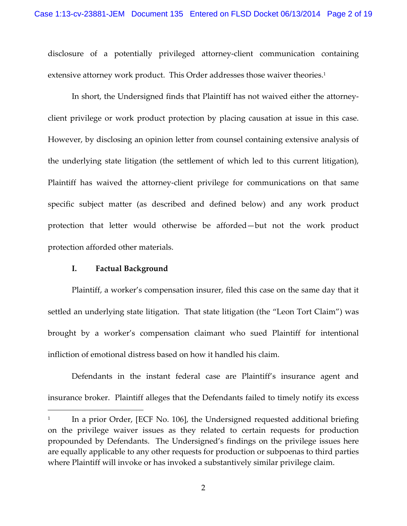disclosure of a potentially privileged attorney‐client communication containing extensive attorney work product. This Order addresses those waiver theories.<sup>1</sup>

In short, the Undersigned finds that Plaintiff has not waived either the attorney‐ client privilege or work product protection by placing causation at issue in this case. However, by disclosing an opinion letter from counsel containing extensive analysis of the underlying state litigation (the settlement of which led to this current litigation), Plaintiff has waived the attorney‐client privilege for communications on that same specific subject matter (as described and defined below) and any work product protection that letter would otherwise be afforded—but not the work product protection afforded other materials.

#### **I. Factual Background**

1

Plaintiff, a worker's compensation insurer, filed this case on the same day that it settled an underlying state litigation. That state litigation (the "Leon Tort Claim") was brought by a worker's compensation claimant who sued Plaintiff for intentional infliction of emotional distress based on how it handled his claim.

Defendants in the instant federal case are Plaintiff's insurance agent and insurance broker. Plaintiff alleges that the Defendants failed to timely notify its excess

<sup>&</sup>lt;sup>1</sup> In a prior Order, [ECF No. 106], the Undersigned requested additional briefing on the privilege waiver issues as they related to certain requests for production propounded by Defendants. The Undersigned's findings on the privilege issues here are equally applicable to any other requests for production or subpoenas to third parties where Plaintiff will invoke or has invoked a substantively similar privilege claim.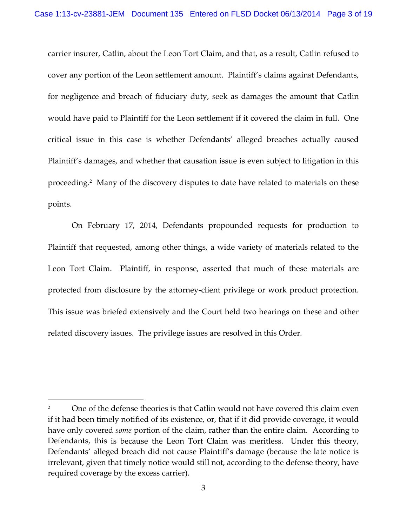carrier insurer, Catlin, about the Leon Tort Claim, and that, as a result, Catlin refused to cover any portion of the Leon settlement amount. Plaintiff's claims against Defendants, for negligence and breach of fiduciary duty, seek as damages the amount that Catlin would have paid to Plaintiff for the Leon settlement if it covered the claim in full. One critical issue in this case is whether Defendants' alleged breaches actually caused Plaintiff's damages, and whether that causation issue is even subject to litigation in this proceeding.2 Many of the discovery disputes to date have related to materials on these points.

On February 17, 2014, Defendants propounded requests for production to Plaintiff that requested, among other things, a wide variety of materials related to the Leon Tort Claim. Plaintiff, in response, asserted that much of these materials are protected from disclosure by the attorney‐client privilege or work product protection. This issue was briefed extensively and the Court held two hearings on these and other related discovery issues. The privilege issues are resolved in this Order.

<sup>2</sup> One of the defense theories is that Catlin would not have covered this claim even if it had been timely notified of its existence, or, that if it did provide coverage, it would have only covered *some* portion of the claim, rather than the entire claim. According to Defendants, this is because the Leon Tort Claim was meritless. Under this theory, Defendants' alleged breach did not cause Plaintiff's damage (because the late notice is irrelevant, given that timely notice would still not, according to the defense theory, have required coverage by the excess carrier).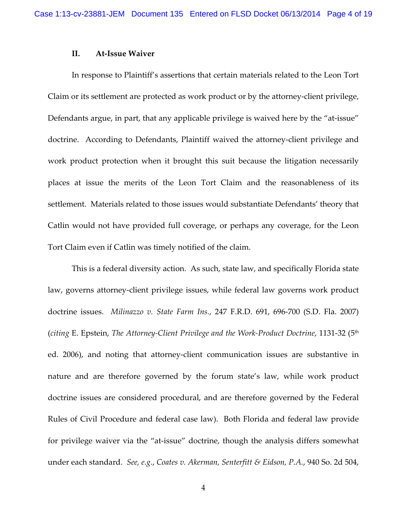#### **II. At‐Issue Waiver**

In response to Plaintiff's assertions that certain materials related to the Leon Tort Claim or its settlement are protected as work product or by the attorney‐client privilege, Defendants argue, in part, that any applicable privilege is waived here by the "at-issue" doctrine. According to Defendants, Plaintiff waived the attorney‐client privilege and work product protection when it brought this suit because the litigation necessarily places at issue the merits of the Leon Tort Claim and the reasonableness of its settlement. Materials related to those issues would substantiate Defendants' theory that Catlin would not have provided full coverage, or perhaps any coverage, for the Leon Tort Claim even if Catlin was timely notified of the claim.

This is a federal diversity action. As such, state law, and specifically Florida state law, governs attorney‐client privilege issues, while federal law governs work product doctrine issues. *Milinazzo v. State Farm Ins.*, 247 F.R.D. 691, 696‐700 (S.D. Fla. 2007) (*citing* E. Epstein, *The Attorney‐Client Privilege and the Work‐Product Doctrine*, 1131‐32 (5th ed. 2006), and noting that attorney‐client communication issues are substantive in nature and are therefore governed by the forum state's law, while work product doctrine issues are considered procedural, and are therefore governed by the Federal Rules of Civil Procedure and federal case law). Both Florida and federal law provide for privilege waiver via the "at‐issue" doctrine, though the analysis differs somewhat under each standard. *See, e.g.*, *Coates v. Akerman, Senterfitt & Eidson, P.A.*, 940 So. 2d 504,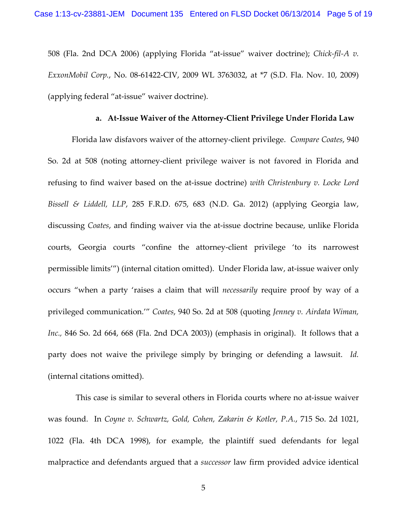508 (Fla. 2nd DCA 2006) (applying Florida "at‐issue" waiver doctrine); *Chick‐fil‐A v. ExxonMobil Corp.*, No. 08‐61422‐CIV, 2009 WL 3763032, at \*7 (S.D. Fla. Nov. 10, 2009) (applying federal "at‐issue" waiver doctrine).

#### **a. At‐Issue Waiver of the Attorney‐Client Privilege Under Florida Law**

Florida law disfavors waiver of the attorney‐client privilege. *Compare Coates*, 940 So. 2d at 508 (noting attorney‐client privilege waiver is not favored in Florida and refusing to find waiver based on the at‐issue doctrine) *with Christenbury v. Locke Lord Bissell & Liddell, LLP*, 285 F.R.D. 675, 683 (N.D. Ga. 2012) (applying Georgia law, discussing *Coates*, and finding waiver via the at‐issue doctrine because, unlike Florida courts, Georgia courts "confine the attorney‐client privilege 'to its narrowest permissible limits'") (internal citation omitted). Under Florida law, at‐issue waiver only occurs "when a party 'raises a claim that will *necessarily* require proof by way of a privileged communication.'" *Coates*, 940 So. 2d at 508 (quoting *Jenney v. Airdata Wiman, Inc.,* 846 So. 2d 664, 668 (Fla. 2nd DCA 2003)) (emphasis in original). It follows that a party does not waive the privilege simply by bringing or defending a lawsuit. *Id.* (internal citations omitted).

 This case is similar to several others in Florida courts where no at‐issue waiver was found. In *Coyne v. Schwartz, Gold, Cohen, Zakarin & Kotler, P.A.*, 715 So. 2d 1021, 1022 (Fla. 4th DCA 1998), for example, the plaintiff sued defendants for legal malpractice and defendants argued that a *successor* law firm provided advice identical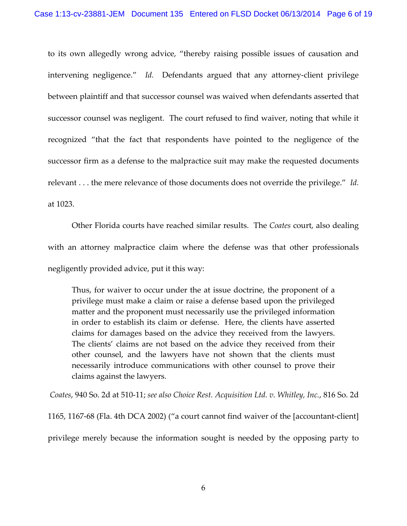to its own allegedly wrong advice, "thereby raising possible issues of causation and intervening negligence." Id. Defendants argued that any attorney-client privilege between plaintiff and that successor counsel was waived when defendants asserted that successor counsel was negligent. The court refused to find waiver, noting that while it recognized "that the fact that respondents have pointed to the negligence of the successor firm as a defense to the malpractice suit may make the requested documents relevant . . . the mere relevance of those documents does not override the privilege." *Id.* at 1023.

Other Florida courts have reached similar results. The *Coates* court, also dealing with an attorney malpractice claim where the defense was that other professionals negligently provided advice, put it this way:

Thus, for waiver to occur under the at issue doctrine, the proponent of a privilege must make a claim or raise a defense based upon the privileged matter and the proponent must necessarily use the privileged information in order to establish its claim or defense. Here, the clients have asserted claims for damages based on the advice they received from the lawyers. The clients' claims are not based on the advice they received from their other counsel, and the lawyers have not shown that the clients must necessarily introduce communications with other counsel to prove their claims against the lawyers.

*Coates*, 940 So. 2d at 510‐11; *see also Choice Rest. Acquisition Ltd. v. Whitley, Inc.*, 816 So. 2d

1165, 1167‐68 (Fla. 4th DCA 2002) ("a court cannot find waiver of the [accountant‐client] privilege merely because the information sought is needed by the opposing party to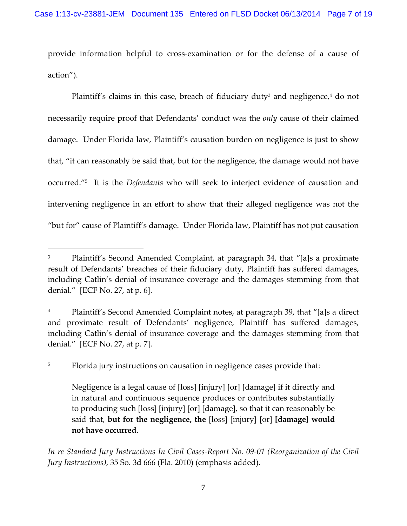provide information helpful to cross‐examination or for the defense of a cause of action").

Plaintiff's claims in this case, breach of fiduciary duty<sup>3</sup> and negligence, $4$  do not necessarily require proof that Defendants' conduct was the *only* cause of their claimed damage. Under Florida law, Plaintiff's causation burden on negligence is just to show that, "it can reasonably be said that, but for the negligence, the damage would not have occurred."5 It is the *Defendants* who will seek to interject evidence of causation and intervening negligence in an effort to show that their alleged negligence was not the "but for" cause of Plaintiff's damage. Under Florida law, Plaintiff has not put causation

<sup>5</sup> Florida jury instructions on causation in negligence cases provide that:

 $\overline{a}$ 

*In re Standard Jury Instructions In Civil Cases‐Report No. 09‐01 (Reorganization of the Civil Jury Instructions)*, 35 So. 3d 666 (Fla. 2010) (emphasis added).

<sup>&</sup>lt;sup>3</sup> Plaintiff's Second Amended Complaint, at paragraph 34, that "[a]s a proximate result of Defendants' breaches of their fiduciary duty, Plaintiff has suffered damages, including Catlin's denial of insurance coverage and the damages stemming from that denial." [ECF No. 27, at p. 6].

Plaintiff's Second Amended Complaint notes, at paragraph 39, that "[a]s a direct and proximate result of Defendants' negligence, Plaintiff has suffered damages, including Catlin's denial of insurance coverage and the damages stemming from that denial." [ECF No. 27, at p. 7].

Negligence is a legal cause of [loss] [injury] [or] [damage] if it directly and in natural and continuous sequence produces or contributes substantially to producing such [loss] [injury] [or] [damage], so that it can reasonably be said that, **but for the negligence, the** [loss] [injury] [or] **[damage] would not have occurred**.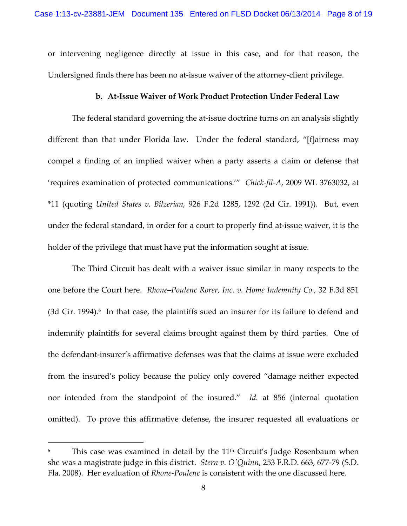or intervening negligence directly at issue in this case, and for that reason, the Undersigned finds there has been no at‐issue waiver of the attorney‐client privilege.

#### **b. At‐Issue Waiver of Work Product Protection Under Federal Law**

The federal standard governing the at-issue doctrine turns on an analysis slightly different than that under Florida law. Under the federal standard, "[f]airness may compel a finding of an implied waiver when a party asserts a claim or defense that 'requires examination of protected communications.'" *Chick‐fil‐A*, 2009 WL 3763032, at \*11 (quoting *United States v. Bilzerian,* 926 F.2d 1285, 1292 (2d Cir. 1991)). But, even under the federal standard, in order for a court to properly find at-issue waiver, it is the holder of the privilege that must have put the information sought at issue.

The Third Circuit has dealt with a waiver issue similar in many respects to the one before the Court here. *Rhone–Poulenc Rorer, Inc. v. Home Indemnity Co.,* 32 F.3d 851  $(3d$  Cir. 1994).<sup>6</sup> In that case, the plaintiffs sued an insurer for its failure to defend and indemnify plaintiffs for several claims brought against them by third parties. One of the defendant‐insurer's affirmative defenses was that the claims at issue were excluded from the insured's policy because the policy only covered "damage neither expected nor intended from the standpoint of the insured." *Id.* at 856 (internal quotation omitted). To prove this affirmative defense, the insurer requested all evaluations or

This case was examined in detail by the  $11<sup>th</sup>$  Circuit's Judge Rosenbaum when she was a magistrate judge in this district. *Stern v. OʹQuinn*, 253 F.R.D. 663, 677‐79 (S.D. Fla. 2008). Her evaluation of *Rhone‐Poulenc* is consistent with the one discussed here.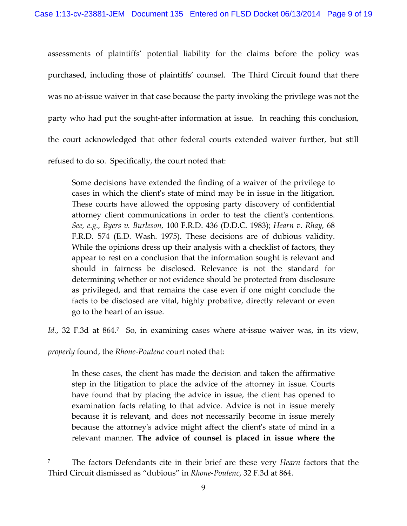assessments of plaintiffs' potential liability for the claims before the policy was purchased, including those of plaintiffs' counsel. The Third Circuit found that there was no at-issue waiver in that case because the party invoking the privilege was not the party who had put the sought-after information at issue. In reaching this conclusion, the court acknowledged that other federal courts extended waiver further, but still refused to do so. Specifically, the court noted that:

Some decisions have extended the finding of a waiver of the privilege to cases in which the clientʹs state of mind may be in issue in the litigation. These courts have allowed the opposing party discovery of confidential attorney client communications in order to test the clientʹs contentions. *See, e.g., Byers v. Burleson,* 100 F.R.D. 436 (D.D.C. 1983); *Hearn v. Rhay,* 68 F.R.D. 574 (E.D. Wash. 1975). These decisions are of dubious validity. While the opinions dress up their analysis with a checklist of factors, they appear to rest on a conclusion that the information sought is relevant and should in fairness be disclosed. Relevance is not the standard for determining whether or not evidence should be protected from disclosure as privileged, and that remains the case even if one might conclude the facts to be disclosed are vital, highly probative, directly relevant or even go to the heart of an issue.

*Id.*, 32 F.3d at 864.<sup>7</sup> So, in examining cases where at-issue waiver was, in its view,

*properly* found, the *Rhone‐Poulenc* court noted that:

 $\overline{a}$ 

In these cases, the client has made the decision and taken the affirmative step in the litigation to place the advice of the attorney in issue. Courts have found that by placing the advice in issue, the client has opened to examination facts relating to that advice. Advice is not in issue merely because it is relevant, and does not necessarily become in issue merely because the attorneyʹs advice might affect the clientʹs state of mind in a relevant manner. **The advice of counsel is placed in issue where the**

<sup>7</sup> The factors Defendants cite in their brief are these very *Hearn* factors that the Third Circuit dismissed as "dubious" in *Rhone‐Poulenc*, 32 F.3d at 864.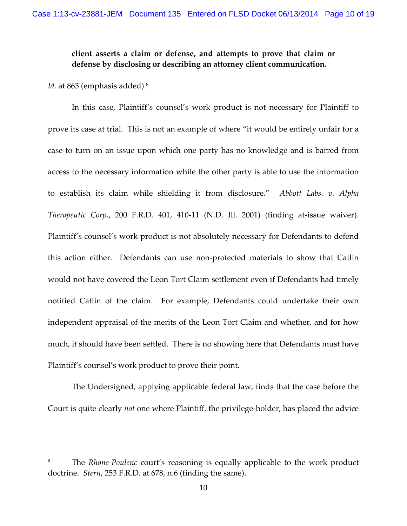# **client asserts a claim or defense, and attempts to prove that claim or defense by disclosing or describing an attorney client communication.**

*Id.* at 863 (emphasis added).<sup>8</sup>

 $\overline{a}$ 

In this case, Plaintiff's counsel's work product is not necessary for Plaintiff to prove its case at trial. This is not an example of where "it would be entirely unfair for a case to turn on an issue upon which one party has no knowledge and is barred from access to the necessary information while the other party is able to use the information to establish its claim while shielding it from disclosure." *Abbott Labs. v. Alpha Therapeutic Corp.*, 200 F.R.D. 401, 410‐11 (N.D. Ill. 2001) (finding at‐issue waiver). Plaintiff's counsel's work product is not absolutely necessary for Defendants to defend this action either. Defendants can use non‐protected materials to show that Catlin would not have covered the Leon Tort Claim settlement even if Defendants had timely notified Catlin of the claim. For example, Defendants could undertake their own independent appraisal of the merits of the Leon Tort Claim and whether, and for how much, it should have been settled. There is no showing here that Defendants must have Plaintiff's counsel's work product to prove their point.

The Undersigned, applying applicable federal law, finds that the case before the Court is quite clearly *not* one where Plaintiff, the privilege‐holder, has placed the advice

<sup>8</sup> The *Rhone‐Poulenc* court's reasoning is equally applicable to the work product doctrine. *Stern*, 253 F.R.D. at 678, n.6 (finding the same).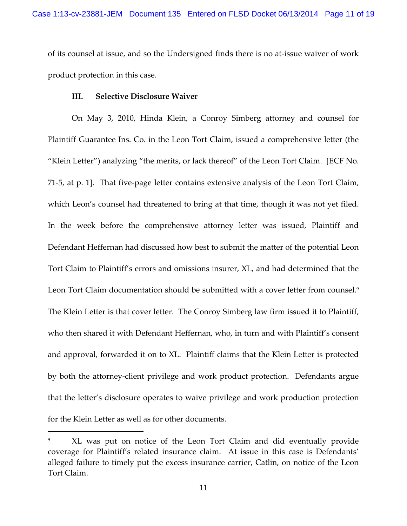of its counsel at issue, and so the Undersigned finds there is no at‐issue waiver of work product protection in this case.

#### **III. Selective Disclosure Waiver**

<u>.</u>

On May 3, 2010, Hinda Klein, a Conroy Simberg attorney and counsel for Plaintiff Guarantee Ins. Co. in the Leon Tort Claim, issued a comprehensive letter (the "Klein Letter") analyzing "the merits, or lack thereof" of the Leon Tort Claim. [ECF No. 71‐5, at p. 1]. That five‐page letter contains extensive analysis of the Leon Tort Claim, which Leon's counsel had threatened to bring at that time, though it was not yet filed. In the week before the comprehensive attorney letter was issued, Plaintiff and Defendant Heffernan had discussed how best to submit the matter of the potential Leon Tort Claim to Plaintiff's errors and omissions insurer, XL, and had determined that the Leon Tort Claim documentation should be submitted with a cover letter from counsel.<sup>9</sup> The Klein Letter is that cover letter. The Conroy Simberg law firm issued it to Plaintiff, who then shared it with Defendant Heffernan, who, in turn and with Plaintiff's consent and approval, forwarded it on to XL. Plaintiff claims that the Klein Letter is protected by both the attorney‐client privilege and work product protection. Defendants argue that the letter's disclosure operates to waive privilege and work production protection for the Klein Letter as well as for other documents.

XL was put on notice of the Leon Tort Claim and did eventually provide coverage for Plaintiff's related insurance claim. At issue in this case is Defendants' alleged failure to timely put the excess insurance carrier, Catlin, on notice of the Leon Tort Claim.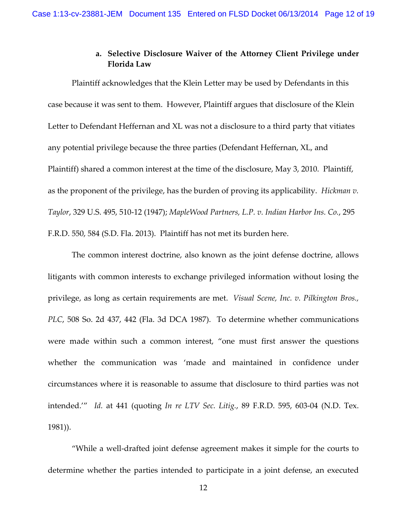# **a. Selective Disclosure Waiver of the Attorney Client Privilege under Florida Law**

Plaintiff acknowledges that the Klein Letter may be used by Defendants in this case because it was sent to them. However, Plaintiff argues that disclosure of the Klein Letter to Defendant Heffernan and XL was not a disclosure to a third party that vitiates any potential privilege because the three parties (Defendant Heffernan, XL, and Plaintiff) shared a common interest at the time of the disclosure, May 3, 2010. Plaintiff, as the proponent of the privilege, has the burden of proving its applicability. *Hickman v. Taylor*, 329 U.S. 495, 510‐12 (1947); *MapleWood Partners, L.P. v. Indian Harbor Ins. Co.*, 295 F.R.D. 550, 584 (S.D. Fla. 2013). Plaintiff has not met its burden here.

The common interest doctrine, also known as the joint defense doctrine, allows litigants with common interests to exchange privileged information without losing the privilege, as long as certain requirements are met. *Visual Scene, Inc. v. Pilkington Bros., PLC*, 508 So. 2d 437, 442 (Fla. 3d DCA 1987). To determine whether communications were made within such a common interest, "one must first answer the questions whether the communication was 'made and maintained in confidence under circumstances where it is reasonable to assume that disclosure to third parties was not intended.'" *Id.* at 441 (quoting *In re LTV Sec. Litig.*, 89 F.R.D. 595, 603‐04 (N.D. Tex. 1981)).

"While a well‐drafted joint defense agreement makes it simple for the courts to determine whether the parties intended to participate in a joint defense, an executed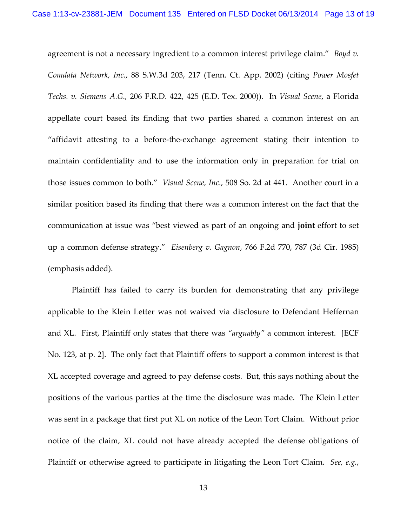agreement is not a necessary ingredient to a common interest privilege claim." *Boyd v. Comdata Network, Inc.*, 88 S.W.3d 203, 217 (Tenn. Ct. App. 2002) (citing *Power Mosfet Techs. v. Siemens A.G.,* 206 F.R.D. 422, 425 (E.D. Tex. 2000)). In *Visual Scene*, a Florida appellate court based its finding that two parties shared a common interest on an "affidavit attesting to a before‐the‐exchange agreement stating their intention to maintain confidentiality and to use the information only in preparation for trial on those issues common to both." *Visual Scene, Inc.*, 508 So. 2d at 441. Another court in a similar position based its finding that there was a common interest on the fact that the communication at issue was "best viewed as part of an ongoing and **joint** effort to set up a common defense strategy." *Eisenberg v. Gagnon*, 766 F.2d 770, 787 (3d Cir. 1985) (emphasis added).

Plaintiff has failed to carry its burden for demonstrating that any privilege applicable to the Klein Letter was not waived via disclosure to Defendant Heffernan and XL. First, Plaintiff only states that there was *"arguably"* a common interest. [ECF No. 123, at p. 2]. The only fact that Plaintiff offers to support a common interest is that XL accepted coverage and agreed to pay defense costs. But, this says nothing about the positions of the various parties at the time the disclosure was made. The Klein Letter was sent in a package that first put XL on notice of the Leon Tort Claim. Without prior notice of the claim, XL could not have already accepted the defense obligations of Plaintiff or otherwise agreed to participate in litigating the Leon Tort Claim. *See, e.g.*,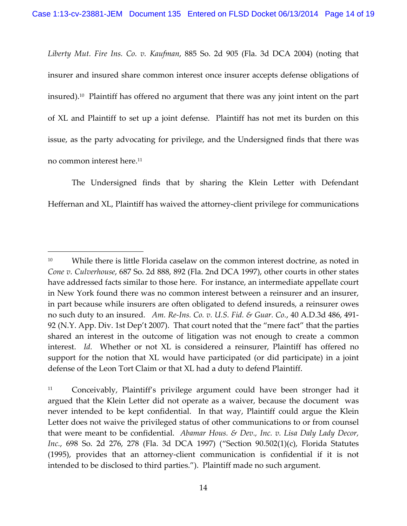*Liberty Mut. Fire Ins. Co. v. Kaufman*, 885 So. 2d 905 (Fla. 3d DCA 2004) (noting that insurer and insured share common interest once insurer accepts defense obligations of insured).10 Plaintiff has offered no argument that there was any joint intent on the part of XL and Plaintiff to set up a joint defense. Plaintiff has not met its burden on this issue, as the party advocating for privilege, and the Undersigned finds that there was no common interest here.11

The Undersigned finds that by sharing the Klein Letter with Defendant Heffernan and XL, Plaintiff has waived the attorney‐client privilege for communications

<sup>&</sup>lt;sup>10</sup> While there is little Florida caselaw on the common interest doctrine, as noted in *Cone v. Culverhouse*, 687 So. 2d 888, 892 (Fla. 2nd DCA 1997), other courts in other states have addressed facts similar to those here. For instance, an intermediate appellate court in New York found there was no common interest between a reinsurer and an insurer, in part because while insurers are often obligated to defend insureds, a reinsurer owes no such duty to an insured. *Am. Re‐Ins. Co. v. U.S. Fid. & Guar. Co.*, 40 A.D.3d 486, 491‐ 92 (N.Y. App. Div. 1st Dep't 2007). That court noted that the "mere fact" that the parties shared an interest in the outcome of litigation was not enough to create a common interest. *Id.* Whether or not XL is considered a reinsurer, Plaintiff has offered no support for the notion that XL would have participated (or did participate) in a joint defense of the Leon Tort Claim or that XL had a duty to defend Plaintiff.

<sup>&</sup>lt;sup>11</sup> Conceivably, Plaintiff's privilege argument could have been stronger had it argued that the Klein Letter did not operate as a waiver, because the document was never intended to be kept confidential. In that way, Plaintiff could argue the Klein Letter does not waive the privileged status of other communications to or from counsel that were meant to be confidential. *Abamar Hous. & Dev., Inc. v. Lisa Daly Lady Decor, Inc.*, 698 So. 2d 276, 278 (Fla. 3d DCA 1997) ("Section 90.502(1)(c), Florida Statutes (1995), provides that an attorney‐client communication is confidential if it is not intended to be disclosed to third parties."). Plaintiff made no such argument.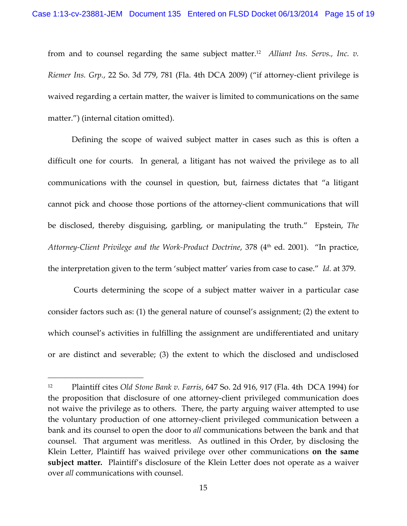from and to counsel regarding the same subject matter.12 *Alliant Ins. Servs., Inc. v. Riemer Ins. Grp.*, 22 So. 3d 779, 781 (Fla. 4th DCA 2009) ("if attorney‐client privilege is waived regarding a certain matter, the waiver is limited to communications on the same matter.") (internal citation omitted).

Defining the scope of waived subject matter in cases such as this is often a difficult one for courts. In general, a litigant has not waived the privilege as to all communications with the counsel in question, but, fairness dictates that "a litigant cannot pick and choose those portions of the attorney‐client communications that will be disclosed, thereby disguising, garbling, or manipulating the truth." Epstein, *The Attorney‐Client Privilege and the Work‐Product Doctrine*, 378 (4th ed. 2001). "In practice, the interpretation given to the term 'subject matter' varies from case to case." *Id.* at 379.

Courts determining the scope of a subject matter waiver in a particular case consider factors such as: (1) the general nature of counsel's assignment; (2) the extent to which counsel's activities in fulfilling the assignment are undifferentiated and unitary or are distinct and severable; (3) the extent to which the disclosed and undisclosed

<sup>12</sup> Plaintiff cites *Old Stone Bank v. Farris*, 647 So. 2d 916, 917 (Fla. 4th DCA 1994) for the proposition that disclosure of one attorney‐client privileged communication does not waive the privilege as to others. There, the party arguing waiver attempted to use the voluntary production of one attorney‐client privileged communication between a bank and its counsel to open the door to *all* communications between the bank and that counsel. That argument was meritless. As outlined in this Order, by disclosing the Klein Letter, Plaintiff has waived privilege over other communications **on the same subject matter.** Plaintiff's disclosure of the Klein Letter does not operate as a waiver over *all* communications with counsel.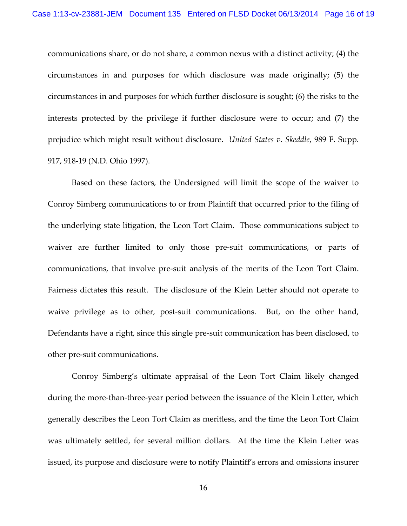communications share, or do not share, a common nexus with a distinct activity; (4) the circumstances in and purposes for which disclosure was made originally; (5) the circumstances in and purposes for which further disclosure is sought; (6) the risks to the interests protected by the privilege if further disclosure were to occur; and (7) the prejudice which might result without disclosure. *United States v. Skeddle*, 989 F. Supp. 917, 918‐19 (N.D. Ohio 1997).

Based on these factors, the Undersigned will limit the scope of the waiver to Conroy Simberg communications to or from Plaintiff that occurred prior to the filing of the underlying state litigation, the Leon Tort Claim. Those communications subject to waiver are further limited to only those pre-suit communications, or parts of communications, that involve pre‐suit analysis of the merits of the Leon Tort Claim. Fairness dictates this result. The disclosure of the Klein Letter should not operate to waive privilege as to other, post-suit communications. But, on the other hand, Defendants have a right, since this single pre‐suit communication has been disclosed, to other pre‐suit communications.

Conroy Simberg's ultimate appraisal of the Leon Tort Claim likely changed during the more-than-three-year period between the issuance of the Klein Letter, which generally describes the Leon Tort Claim as meritless, and the time the Leon Tort Claim was ultimately settled, for several million dollars. At the time the Klein Letter was issued, its purpose and disclosure were to notify Plaintiff's errors and omissions insurer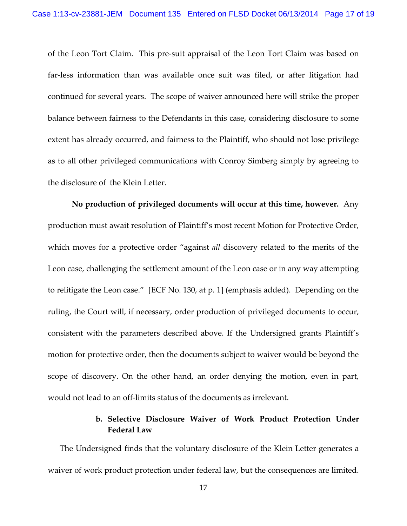of the Leon Tort Claim. This pre‐suit appraisal of the Leon Tort Claim was based on far‐less information than was available once suit was filed, or after litigation had continued for several years. The scope of waiver announced here will strike the proper balance between fairness to the Defendants in this case, considering disclosure to some extent has already occurred, and fairness to the Plaintiff, who should not lose privilege as to all other privileged communications with Conroy Simberg simply by agreeing to the disclosure of the Klein Letter.

**No production of privileged documents will occur at this time, however.** Any production must await resolution of Plaintiff's most recent Motion for Protective Order, which moves for a protective order "against *all* discovery related to the merits of the Leon case, challenging the settlement amount of the Leon case or in any way attempting to relitigate the Leon case." [ECF No. 130, at p. 1] (emphasis added). Depending on the ruling, the Court will, if necessary, order production of privileged documents to occur, consistent with the parameters described above. If the Undersigned grants Plaintiff's motion for protective order, then the documents subject to waiver would be beyond the scope of discovery. On the other hand, an order denying the motion, even in part, would not lead to an off‐limits status of the documents as irrelevant.

# **b. Selective Disclosure Waiver of Work Product Protection Under Federal Law**

The Undersigned finds that the voluntary disclosure of the Klein Letter generates a waiver of work product protection under federal law, but the consequences are limited.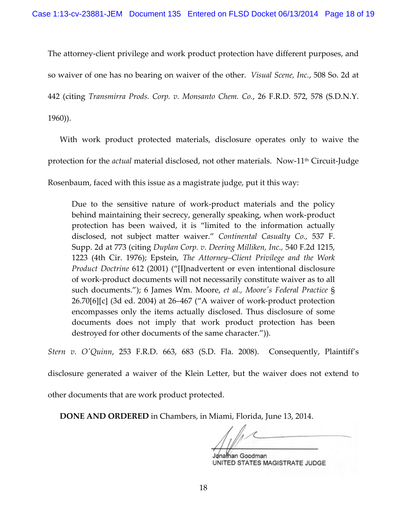The attorney-client privilege and work product protection have different purposes, and

so waiver of one has no bearing on waiver of the other. *Visual Scene, Inc.*, 508 So. 2d at

442 (citing *Transmirra Prods. Corp. v. Monsanto Chem. Co.*, 26 F.R.D. 572, 578 (S.D.N.Y.

1960)).

With work product protected materials, disclosure operates only to waive the protection for the *actual* material disclosed, not other materials. Now-11<sup>th</sup> Circuit-Judge

Rosenbaum, faced with this issue as a magistrate judge, put it this way:

Due to the sensitive nature of work‐product materials and the policy behind maintaining their secrecy, generally speaking, when work‐product protection has been waived, it is "limited to the information actually disclosed, not subject matter waiver." *Continental Casualty Co.,* 537 F. Supp. 2d at 773 (citing *Duplan Corp. v. Deering Milliken, Inc.,* 540 F.2d 1215, 1223 (4th Cir. 1976); Epstein, *The Attorney–Client Privilege and the Work Product Doctrine* 612 (2001) ("[I]nadvertent or even intentional disclosure of work‐product documents will not necessarily constitute waiver as to all such documents."); 6 James Wm. Moore, *et al., Mooreʹs Federal Practice* § 26.70[6][c] (3d ed. 2004) at 26–467 ("A waiver of work‐product protection encompasses only the items actually disclosed. Thus disclosure of some documents does not imply that work product protection has been destroyed for other documents of the same character.")).

*Stern v. OʹQuinn*, 253 F.R.D. 663, 683 (S.D. Fla. 2008). Consequently, Plaintiff's

disclosure generated a waiver of the Klein Letter, but the waiver does not extend to

other documents that are work product protected.

**DONE AND ORDERED** in Chambers, in Miami, Florida, June 13, 2014.

Jonathan Goodman UNITED STATES MAGISTRATE JUDGE